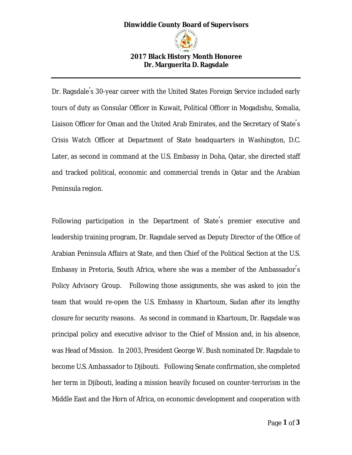#### **Dinwiddie County Board of Supervisors**



### **2017 Black History Month Honoree Dr. Marguerita D. Ragsdale**

Dr. Ragsdale's 30-year career with the United States Foreign Service included early tours of duty as Consular Officer in Kuwait, Political Officer in Mogadishu, Somalia, Liaison Officer for Oman and the United Arab Emirates, and the Secretary of State's Crisis Watch Officer at Department of State headquarters in Washington, D.C. Later, as second in command at the U.S. Embassy in Doha, Qatar, she directed staff and tracked political, economic and commercial trends in Qatar and the Arabian Peninsula region.

Following participation in the Department of State's premier executive and leadership training program, Dr. Ragsdale served as Deputy Director of the Office of Arabian Peninsula Affairs at State, and then Chief of the Political Section at the U.S. Embassy in Pretoria, South Africa, where she was a member of the Ambassador's Policy Advisory Group. Following those assignments, she was asked to join the team that would re-open the U.S. Embassy in Khartoum, Sudan after its lengthy closure for security reasons. As second in command in Khartoum, Dr. Ragsdale was principal policy and executive advisor to the Chief of Mission and, in his absence, was Head of Mission. In 2003, President George W. Bush nominated Dr. Ragsdale to become U.S. Ambassador to Djibouti. Following Senate confirmation, she completed her term in Djibouti, leading a mission heavily focused on counter-terrorism in the Middle East and the Horn of Africa, on economic development and cooperation with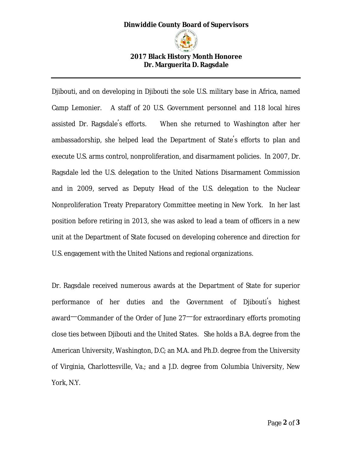#### **Dinwiddie County Board of Supervisors**



# **2017 Black History Month Honoree Dr. Marguerita D. Ragsdale**

Djibouti, and on developing in Djibouti the sole U.S. military base in Africa, named Camp Lemonier. A staff of 20 U.S. Government personnel and 118 local hires assisted Dr. Ragsdale's efforts. When she returned to Washington after her ambassadorship, she helped lead the Department of State's efforts to plan and execute U.S. arms control, nonproliferation, and disarmament policies. In 2007, Dr. Ragsdale led the U.S. delegation to the United Nations Disarmament Commission and in 2009, served as Deputy Head of the U.S. delegation to the Nuclear Nonproliferation Treaty Preparatory Committee meeting in New York. In her last position before retiring in 2013, she was asked to lead a team of officers in a new unit at the Department of State focused on developing coherence and direction for U.S. engagement with the United Nations and regional organizations.

Dr. Ragsdale received numerous awards at the Department of State for superior performance of her duties and the Government of Djibouti's highest award—Commander of the Order of June 27—for extraordinary efforts promoting close ties between Djibouti and the United States. She holds a B.A. degree from the American University, Washington, D.C; an M.A. and Ph.D. degree from the University of Virginia, Charlottesville, Va.; and a J.D. degree from Columbia University, New York, N.Y.